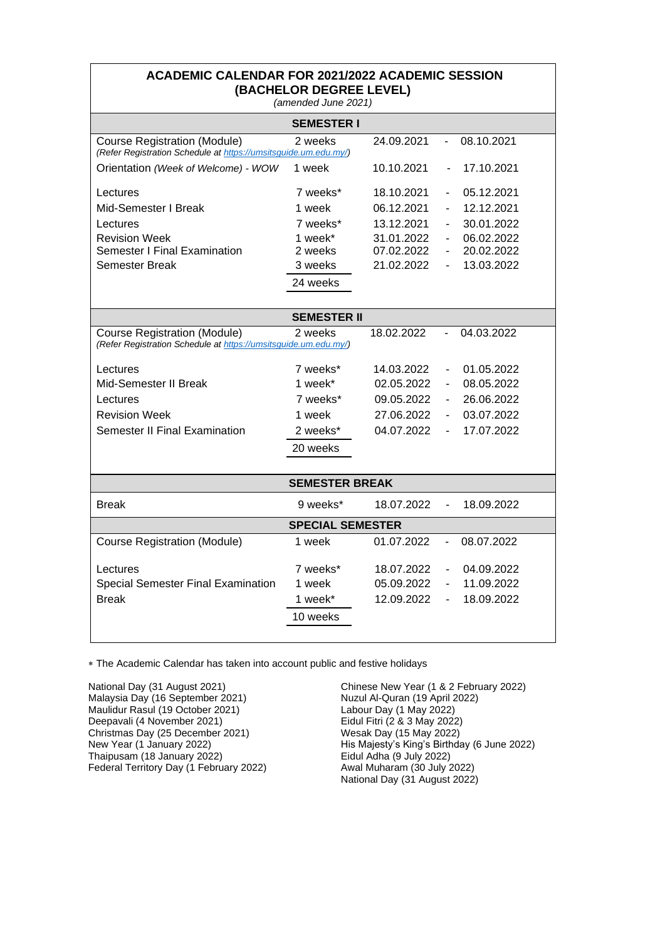| <b>ACADEMIC CALENDAR FOR 2021/2022 ACADEMIC SESSION</b><br>(BACHELOR DEGREE LEVEL)<br>(amended June 2021) |                   |            |                              |            |  |  |  |  |
|-----------------------------------------------------------------------------------------------------------|-------------------|------------|------------------------------|------------|--|--|--|--|
|                                                                                                           | <b>SEMESTER I</b> |            |                              |            |  |  |  |  |
| <b>Course Registration (Module)</b><br>(Refer Registration Schedule at https://umsitsguide.um.edu.my/)    | 2 weeks           | 24.09.2021 | $\blacksquare$               | 08.10.2021 |  |  |  |  |
| Orientation (Week of Welcome) - WOW                                                                       | 1 week            | 10.10.2021 | $\blacksquare$               | 17.10.2021 |  |  |  |  |
| Lectures                                                                                                  | 7 weeks*          | 18.10.2021 | $\overline{\phantom{m}}$     | 05.12.2021 |  |  |  |  |
| Mid-Semester I Break                                                                                      | 1 week            | 06.12.2021 | $\overline{\phantom{a}}$     | 12.12.2021 |  |  |  |  |
| Lectures                                                                                                  | 7 weeks*          | 13.12.2021 | $\blacksquare$               | 30.01.2022 |  |  |  |  |
| <b>Revision Week</b>                                                                                      | 1 week*           | 31.01.2022 | $\blacksquare$               | 06.02.2022 |  |  |  |  |
| <b>Semester I Final Examination</b>                                                                       | 2 weeks           | 07.02.2022 | $\qquad \qquad \blacksquare$ | 20.02.2022 |  |  |  |  |
| Semester Break                                                                                            | 3 weeks           | 21.02.2022 | $\overline{\phantom{0}}$     | 13.03.2022 |  |  |  |  |
|                                                                                                           | 24 weeks          |            |                              |            |  |  |  |  |
|                                                                                                           |                   |            |                              |            |  |  |  |  |
| <b>SEMESTER II</b>                                                                                        |                   |            |                              |            |  |  |  |  |
| <b>Course Registration (Module)</b><br>(Refer Registration Schedule at https://umsitsguide.um.edu.my/)    | 2 weeks           | 18.02.2022 |                              | 04.03.2022 |  |  |  |  |
| Lectures                                                                                                  | 7 weeks*          | 14.03.2022 | $\overline{\phantom{0}}$     | 01.05.2022 |  |  |  |  |
| Mid-Semester II Break                                                                                     | 1 week*           | 02.05.2022 | $\blacksquare$               | 08.05.2022 |  |  |  |  |
| Lectures                                                                                                  | 7 weeks*          | 09.05.2022 | $\overline{\phantom{0}}$     | 26.06.2022 |  |  |  |  |
| <b>Revision Week</b>                                                                                      | 1 week            | 27.06.2022 | $\blacksquare$               | 03.07.2022 |  |  |  |  |
| Semester II Final Examination                                                                             | 2 weeks*          | 04.07.2022 |                              | 17.07.2022 |  |  |  |  |
|                                                                                                           | 20 weeks          |            |                              |            |  |  |  |  |
|                                                                                                           |                   |            |                              |            |  |  |  |  |
| <b>SEMESTER BREAK</b>                                                                                     |                   |            |                              |            |  |  |  |  |
| <b>Break</b>                                                                                              | 9 weeks*          | 18.07.2022 |                              | 18.09.2022 |  |  |  |  |
| <b>SPECIAL SEMESTER</b>                                                                                   |                   |            |                              |            |  |  |  |  |
| <b>Course Registration (Module)</b>                                                                       | 1 week            | 01.07.2022 | $\overline{a}$               | 08.07.2022 |  |  |  |  |
| Lectures                                                                                                  | 7 weeks*          | 18.07.2022 | $\overline{\phantom{0}}$     | 04.09.2022 |  |  |  |  |
| <b>Special Semester Final Examination</b>                                                                 | 1 week            | 05.09.2022 | $\overline{\phantom{a}}$     | 11.09.2022 |  |  |  |  |
| <b>Break</b>                                                                                              | 1 week*           | 12.09.2022 | $\qquad \qquad \blacksquare$ | 18.09.2022 |  |  |  |  |
|                                                                                                           | 10 weeks          |            |                              |            |  |  |  |  |
|                                                                                                           |                   |            |                              |            |  |  |  |  |

The Academic Calendar has taken into account public and festive holidays

National Day (31 August 2021) Malaysia Day (16 September 2021) Maulidur Rasul (19 October 2021) Deepavali (4 November 2021) Christmas Day (25 December 2021) New Year (1 January 2022) Thaipusam (18 January 2022) Federal Territory Day (1 February 2022) Chinese New Year (1 & 2 February 2022) Nuzul Al-Quran (19 April 2022) Labour Day (1 May 2022) Eidul Fitri (2 & 3 May 2022) Wesak Day (15 May 2022) His Majesty's King's Birthday (6 June 2022) Eidul Adha (9 July 2022) Awal Muharam (30 July 2022) National Day (31 August 2022)